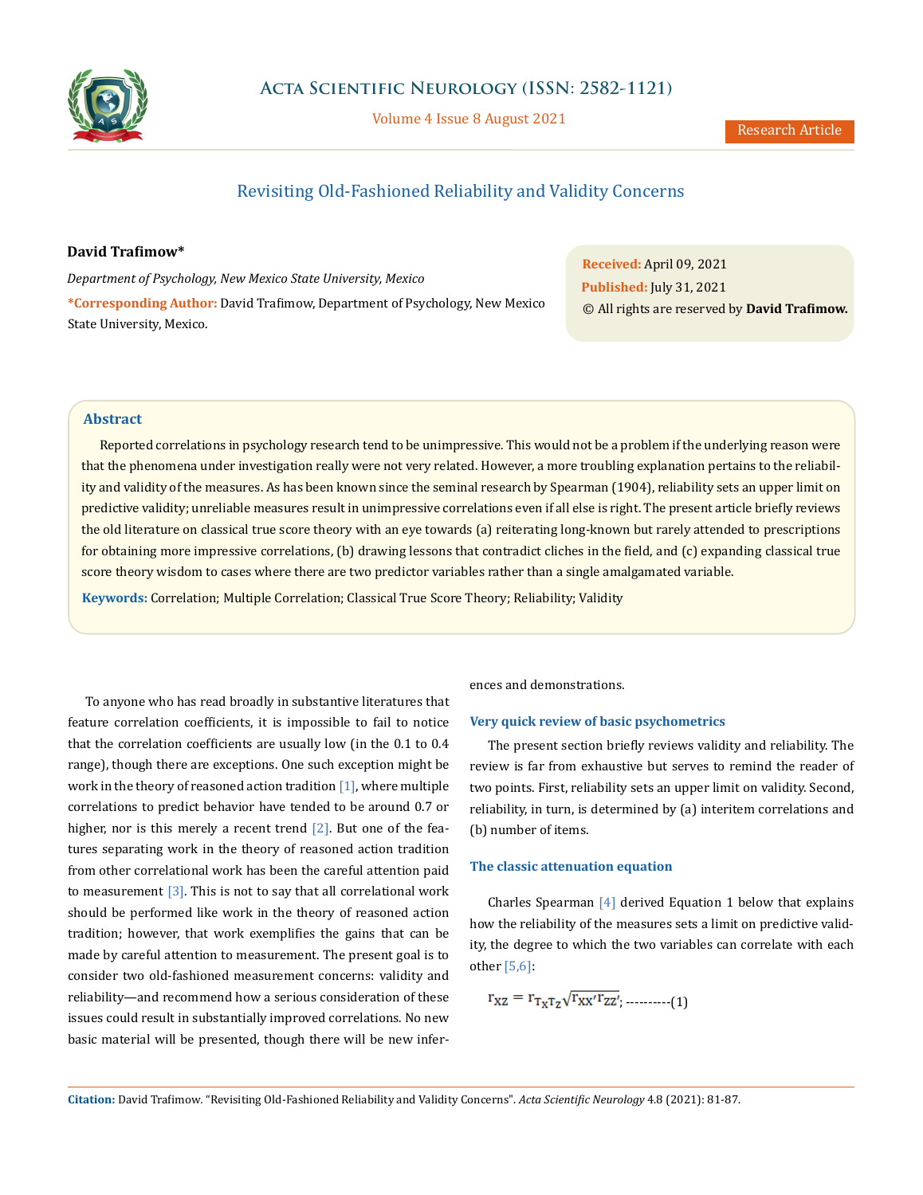

Volume 4 Issue 8 August 2021

# Revisiting Old-Fashioned Reliability and Validity Concerns

## **David Trafimow\***

*Department of Psychology, New Mexico State University, Mexico* **\*Corresponding Author:** David Trafimow, Department of Psychology, New Mexico State University, Mexico.

**Received:** April 09, 2021 **Published:** July 31, 2021 © All rights are reserved by **David Trafimow.**

### **Abstract**

Reported correlations in psychology research tend to be unimpressive. This would not be a problem if the underlying reason were that the phenomena under investigation really were not very related. However, a more troubling explanation pertains to the reliability and validity of the measures. As has been known since the seminal research by Spearman (1904), reliability sets an upper limit on predictive validity; unreliable measures result in unimpressive correlations even if all else is right. The present article briefly reviews the old literature on classical true score theory with an eye towards (a) reiterating long-known but rarely attended to prescriptions for obtaining more impressive correlations, (b) drawing lessons that contradict cliches in the field, and (c) expanding classical true score theory wisdom to cases where there are two predictor variables rather than a single amalgamated variable.

**Keywords:** Correlation; Multiple Correlation; Classical True Score Theory; Reliability; Validity

To anyone who has read broadly in substantive literatures that feature correlation coefficients, it is impossible to fail to notice that the correlation coefficients are usually low (in the 0.1 to 0.4 range), though there are exceptions. One such exception might be work in the theory of reasoned action tradition  $[1]$ , where multiple correlations to predict behavior have tended to be around 0.7 or higher, nor is this merely a recent trend [2]. But one of the features separating work in the theory of reasoned action tradition from other correlational work has been the careful attention paid to measurement  $\lceil 3 \rceil$ . This is not to say that all correlational work should be performed like work in the theory of reasoned action tradition; however, that work exemplifies the gains that can be made by careful attention to measurement. The present goal is to consider two old-fashioned measurement concerns: validity and reliability—and recommend how a serious consideration of these issues could result in substantially improved correlations. No new basic material will be presented, though there will be new inferences and demonstrations.

#### **Very quick review of basic psychometrics**

The present section briefly reviews validity and reliability. The review is far from exhaustive but serves to remind the reader of two points. First, reliability sets an upper limit on validity. Second, reliability, in turn, is determined by (a) interitem correlations and (b) number of items.

#### **The classic attenuation equation**

Charles Spearman [4] derived Equation 1 below that explains how the reliability of the measures sets a limit on predictive validity, the degree to which the two variables can correlate with each other [5,6]:

$$
\mathbf{r}_{\text{XZ}} = \mathbf{r}_{\text{T}_{\text{X}}\text{T}_{\text{Z}}}\sqrt{\mathbf{r}_{\text{XX}'}\mathbf{r}_{\text{ZZ}'}}
$$
........(1)

**Citation:** David Trafimow*.* "Revisiting Old-Fashioned Reliability and Validity Concerns". *Acta Scientific Neurology* 4.8 (2021): 81-87.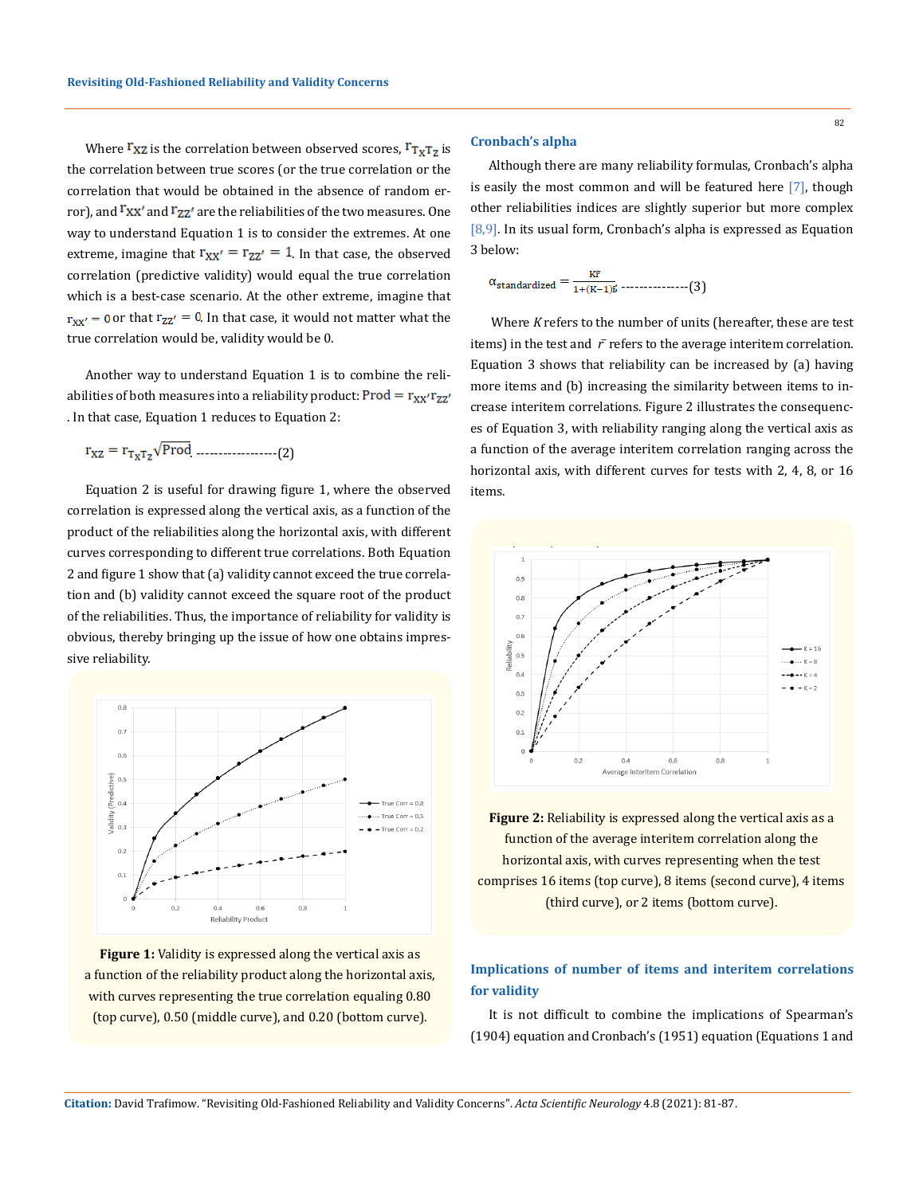Where  $\mathbf{r}_{\mathbf{XZ}}$  is the correlation between observed scores,  $\mathbf{r}_{\mathbf{XZ}}$  is the correlation between true scores (or the true correlation or the correlation that would be obtained in the absence of random error), and <sup>F</sup>xx' and F<sub>ZZ</sub>' are the reliabilities of the two measures. One way to understand Equation 1 is to consider the extremes. At one extreme, imagine that  $r_{xx'} = r_{zz'} = 1$ . In that case, the observed correlation (predictive validity) would equal the true correlation which is a best-case scenario. At the other extreme, imagine that  $r_{xx'} = 0$  or that  $r_{zz'} = 0$ . In that case, it would not matter what the true correlation would be, validity would be 0.

Another way to understand Equation 1 is to combine the reliabilities of both measures into a reliability product: Prod =  $r_{xx'}r_{zz'}$ . In that case, Equation 1 reduces to Equation 2:

$$
r_{XZ} = r_{T_X T_Z} \sqrt{Prod}
$$
 (2)

Equation 2 is useful for drawing figure 1, where the observed correlation is expressed along the vertical axis, as a function of the product of the reliabilities along the horizontal axis, with different curves corresponding to different true correlations. Both Equation 2 and figure 1 show that (a) validity cannot exceed the true correlation and (b) validity cannot exceed the square root of the product of the reliabilities. Thus, the importance of reliability for validity is obvious, thereby bringing up the issue of how one obtains impressive reliability.



**Figure 1:** Validity is expressed along the vertical axis as a function of the reliability product along the horizontal axis, with curves representing the true correlation equaling 0.80 (top curve), 0.50 (middle curve), and 0.20 (bottom curve).

## **Cronbach's alpha**

Although there are many reliability formulas, Cronbach's alpha is easily the most common and will be featured here [7], though other reliabilities indices are slightly superior but more complex [8,9]. In its usual form, Cronbach's alpha is expressed as Equation 3 below:

$$
\alpha_{\text{standardized}} = \frac{\kappa r}{1 + (K-1)\bar{r}} \dots \dots \dots \dots \dots \dots \dots \dots (3)
$$

 Where *K* refers to the number of units (hereafter, these are test items) in the test and  $\bar{r}$  refers to the average interitem correlation. Equation 3 shows that reliability can be increased by (a) having more items and (b) increasing the similarity between items to increase interitem correlations. Figure 2 illustrates the consequences of Equation 3, with reliability ranging along the vertical axis as a function of the average interitem correlation ranging across the horizontal axis, with different curves for tests with 2, 4, 8, or 16 items.



**Figure 2:** Reliability is expressed along the vertical axis as a function of the average interitem correlation along the horizontal axis, with curves representing when the test comprises 16 items (top curve), 8 items (second curve), 4 items (third curve), or 2 items (bottom curve).

# **Implications of number of items and interitem correlations for validity**

It is not difficult to combine the implications of Spearman's (1904) equation and Cronbach's (1951) equation (Equations 1 and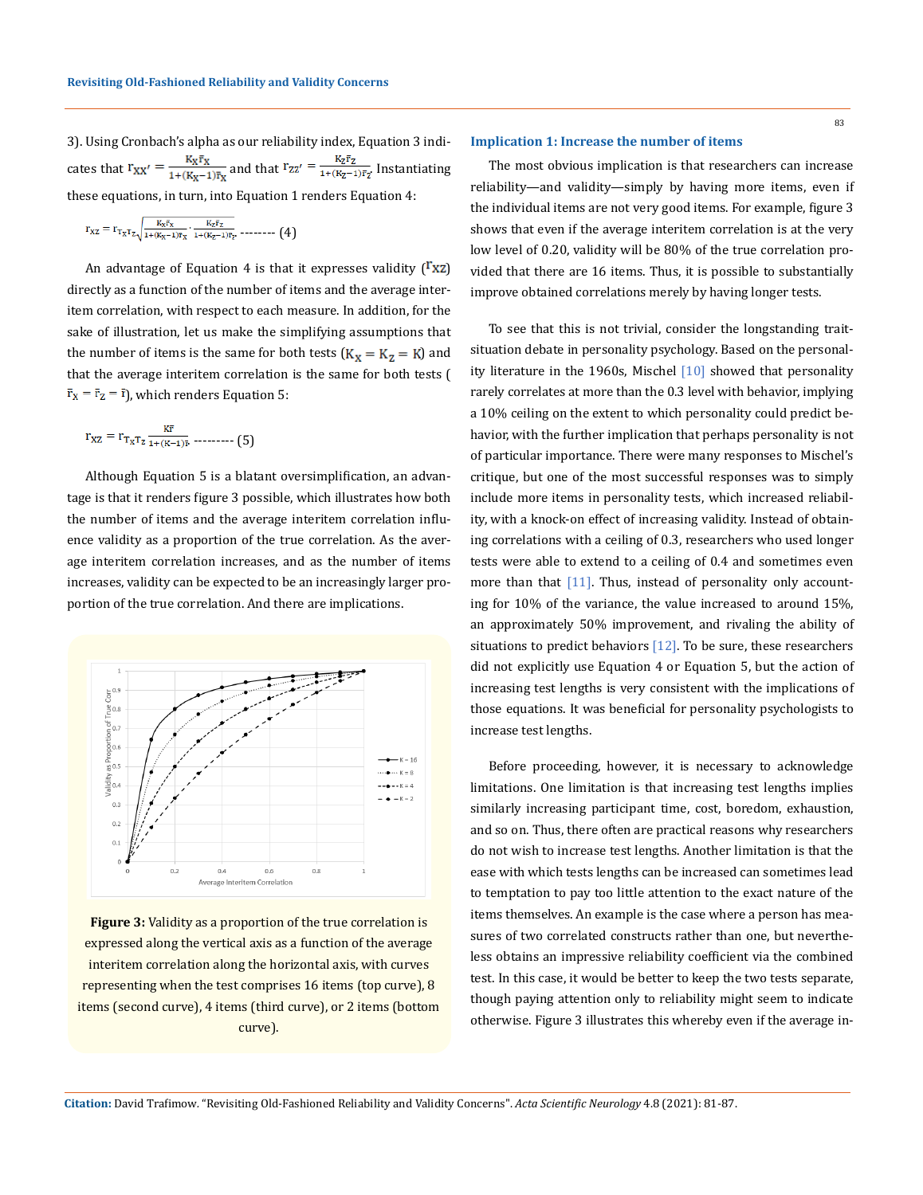3). Using Cronbach's alpha as our reliability index, Equation 3 indicates that  $r_{XX'} = \frac{K_X \bar{r}_X}{1 + (K_X - 1)\bar{r}_X}$  and that  $r_{ZZ'} = \frac{K_Z \bar{r}_Z}{1 + (K_Z - 1)\bar{r}_Z}$ . Instantiating these equations, in turn, into Equation 1 renders Equation 4:

$$
r_{XZ} = r_{T_X T_Z} \sqrt{\frac{K_X \bar{r}_X}{1 + (K_X - 1)\bar{r}_X} \cdot \frac{K_Z \bar{r}_Z}{1 + (K_Z - 1)\bar{r}_Z} \dots} \tag{4}
$$

An advantage of Equation 4 is that it expresses validity  $({}^{\Gamma}XZ)$ directly as a function of the number of items and the average interitem correlation, with respect to each measure. In addition, for the sake of illustration, let us make the simplifying assumptions that the number of items is the same for both tests  $(K_X = K_Z = K)$  and that the average interitem correlation is the same for both tests (  $\bar{r}_{x} = \bar{r}_{z} = \bar{r}$ , which renders Equation 5:

$$
r_{XZ} = r_{T_X T_Z} \frac{K\bar{r}}{1 + (K-1)\bar{r}} \dots \dots \dots \tag{5}
$$

Although Equation 5 is a blatant oversimplification, an advantage is that it renders figure 3 possible, which illustrates how both the number of items and the average interitem correlation influence validity as a proportion of the true correlation. As the average interitem correlation increases, and as the number of items increases, validity can be expected to be an increasingly larger proportion of the true correlation. And there are implications.



**Figure 3:** Validity as a proportion of the true correlation is expressed along the vertical axis as a function of the average interitem correlation along the horizontal axis, with curves representing when the test comprises 16 items (top curve), 8 items (second curve), 4 items (third curve), or 2 items (bottom curve).

#### **Implication 1: Increase the number of items**

The most obvious implication is that researchers can increase reliability—and validity—simply by having more items, even if the individual items are not very good items. For example, figure 3 shows that even if the average interitem correlation is at the very low level of 0.20, validity will be 80% of the true correlation provided that there are 16 items. Thus, it is possible to substantially improve obtained correlations merely by having longer tests.

To see that this is not trivial, consider the longstanding traitsituation debate in personality psychology. Based on the personality literature in the 1960s, Mischel [10] showed that personality rarely correlates at more than the 0.3 level with behavior, implying a 10% ceiling on the extent to which personality could predict behavior, with the further implication that perhaps personality is not of particular importance. There were many responses to Mischel's critique, but one of the most successful responses was to simply include more items in personality tests, which increased reliability, with a knock-on effect of increasing validity. Instead of obtaining correlations with a ceiling of 0.3, researchers who used longer tests were able to extend to a ceiling of 0.4 and sometimes even more than that [11]. Thus, instead of personality only accounting for 10% of the variance, the value increased to around 15%, an approximately 50% improvement, and rivaling the ability of situations to predict behaviors  $[12]$ . To be sure, these researchers did not explicitly use Equation 4 or Equation 5, but the action of increasing test lengths is very consistent with the implications of those equations. It was beneficial for personality psychologists to increase test lengths.

Before proceeding, however, it is necessary to acknowledge limitations. One limitation is that increasing test lengths implies similarly increasing participant time, cost, boredom, exhaustion, and so on. Thus, there often are practical reasons why researchers do not wish to increase test lengths. Another limitation is that the ease with which tests lengths can be increased can sometimes lead to temptation to pay too little attention to the exact nature of the items themselves. An example is the case where a person has measures of two correlated constructs rather than one, but nevertheless obtains an impressive reliability coefficient via the combined test. In this case, it would be better to keep the two tests separate, though paying attention only to reliability might seem to indicate otherwise. Figure 3 illustrates this whereby even if the average in-

**Citation:** David Trafimow*.* "Revisiting Old-Fashioned Reliability and Validity Concerns". *Acta Scientific Neurology* 4.8 (2021): 81-87.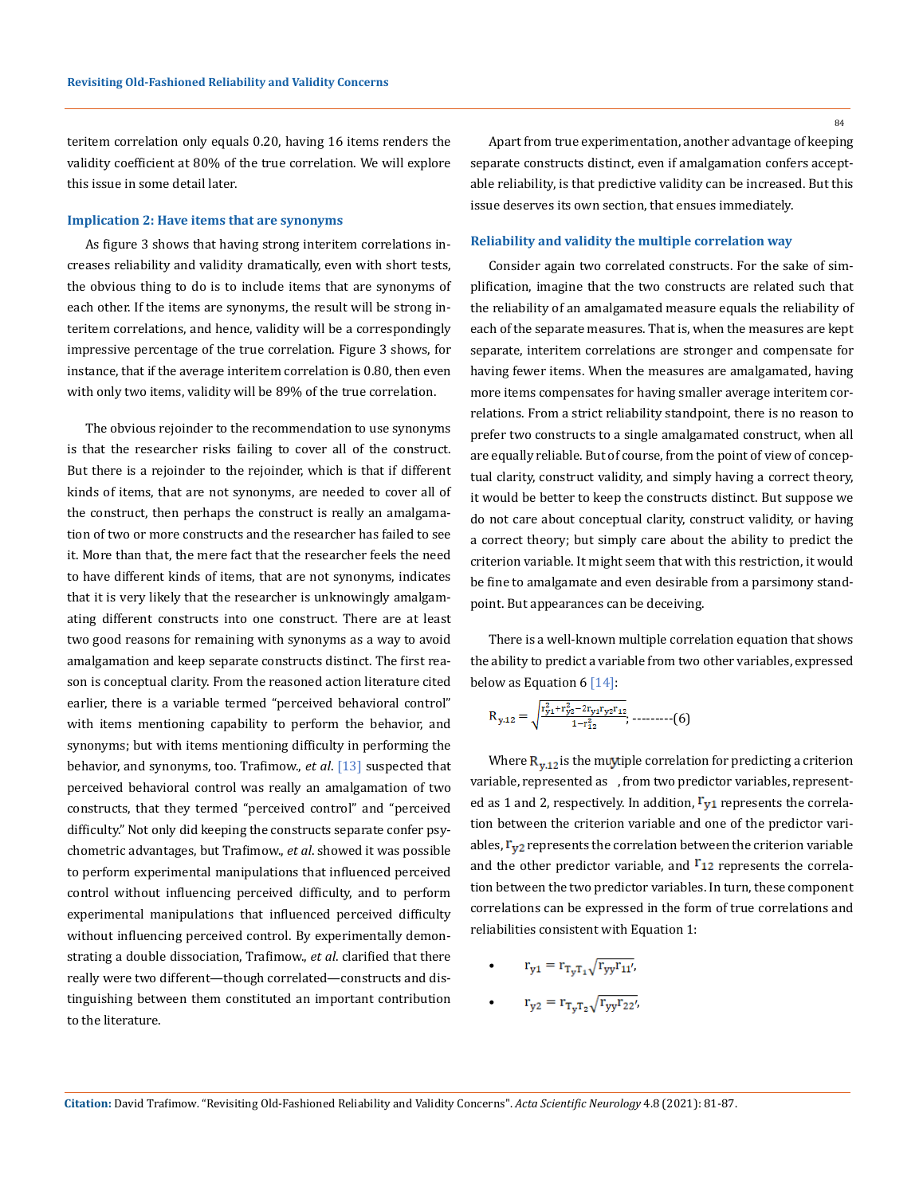teritem correlation only equals 0.20, having 16 items renders the validity coefficient at 80% of the true correlation. We will explore this issue in some detail later.

## **Implication 2: Have items that are synonyms**

As figure 3 shows that having strong interitem correlations increases reliability and validity dramatically, even with short tests, the obvious thing to do is to include items that are synonyms of each other. If the items are synonyms, the result will be strong interitem correlations, and hence, validity will be a correspondingly impressive percentage of the true correlation. Figure 3 shows, for instance, that if the average interitem correlation is 0.80, then even with only two items, validity will be 89% of the true correlation.

The obvious rejoinder to the recommendation to use synonyms is that the researcher risks failing to cover all of the construct. But there is a rejoinder to the rejoinder, which is that if different kinds of items, that are not synonyms, are needed to cover all of the construct, then perhaps the construct is really an amalgamation of two or more constructs and the researcher has failed to see it. More than that, the mere fact that the researcher feels the need to have different kinds of items, that are not synonyms, indicates that it is very likely that the researcher is unknowingly amalgamating different constructs into one construct. There are at least two good reasons for remaining with synonyms as a way to avoid amalgamation and keep separate constructs distinct. The first reason is conceptual clarity. From the reasoned action literature cited earlier, there is a variable termed "perceived behavioral control" with items mentioning capability to perform the behavior, and synonyms; but with items mentioning difficulty in performing the behavior, and synonyms, too. Trafimow., *et al*. [13] suspected that perceived behavioral control was really an amalgamation of two constructs, that they termed "perceived control" and "perceived difficulty." Not only did keeping the constructs separate confer psychometric advantages, but Trafimow., *et al*. showed it was possible to perform experimental manipulations that influenced perceived control without influencing perceived difficulty, and to perform experimental manipulations that influenced perceived difficulty without influencing perceived control. By experimentally demonstrating a double dissociation, Trafimow., *et al*. clarified that there really were two different—though correlated—constructs and distinguishing between them constituted an important contribution to the literature.

Apart from true experimentation, another advantage of keeping separate constructs distinct, even if amalgamation confers acceptable reliability, is that predictive validity can be increased. But this issue deserves its own section, that ensues immediately.

#### **Reliability and validity the multiple correlation way**

Consider again two correlated constructs. For the sake of simplification, imagine that the two constructs are related such that the reliability of an amalgamated measure equals the reliability of each of the separate measures. That is, when the measures are kept separate, interitem correlations are stronger and compensate for having fewer items. When the measures are amalgamated, having more items compensates for having smaller average interitem correlations. From a strict reliability standpoint, there is no reason to prefer two constructs to a single amalgamated construct, when all are equally reliable. But of course, from the point of view of conceptual clarity, construct validity, and simply having a correct theory, it would be better to keep the constructs distinct. But suppose we do not care about conceptual clarity, construct validity, or having a correct theory; but simply care about the ability to predict the criterion variable. It might seem that with this restriction, it would be fine to amalgamate and even desirable from a parsimony standpoint. But appearances can be deceiving.

There is a well-known multiple correlation equation that shows the ability to predict a variable from two other variables, expressed below as Equation 6  $[14]$ :

; ---------(6)

Where  $R_{v,12}$  is the muytiple correlation for predicting a criterion variable, represented as , from two predictor variables, represented as 1 and 2, respectively. In addition,  $\Gamma_{V1}$  represents the correlation between the criterion variable and one of the predictor variables,  $r_{v2}$  represents the correlation between the criterion variable and the other predictor variable, and  $r_{12}$  represents the correlation between the two predictor variables. In turn, these component correlations can be expressed in the form of true correlations and reliabilities consistent with Equation 1:

- $r_{y1} = r_{T_vT_1} \sqrt{r_{yy}r_{11}}$
- $r_{y2} = r_{T_v T_2} \sqrt{r_{yy} r_{22}}$

84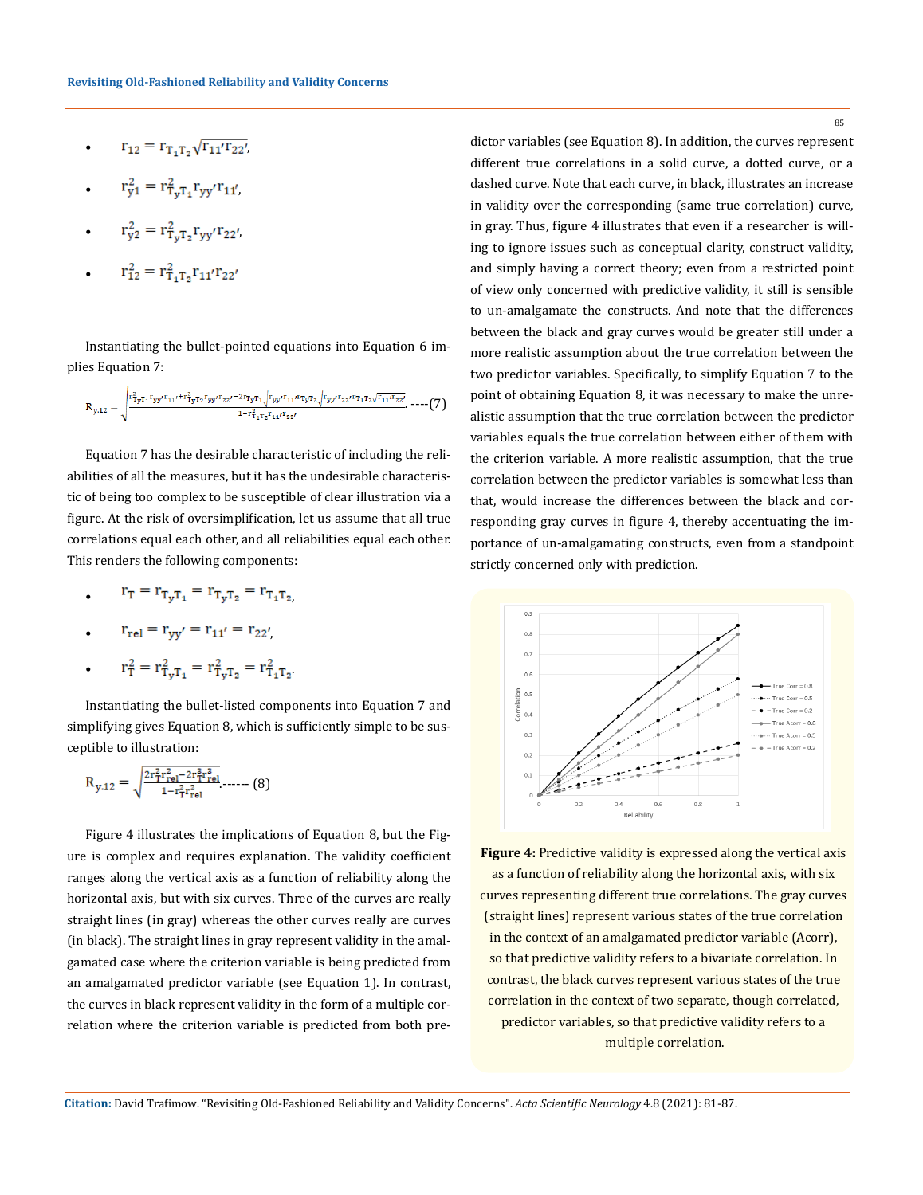- $r_{12} = r_{T_1T_2}\sqrt{r_{11}'r_{22}'}$
- $r_{y1}^2 = r_{T_yT_1}^2 r_{yy'} r_{11'}$
- $r_{y2}^2 = r_{T_vT_2}^2 r_{yy'} r_{22'}$
- $r_{12}^2 = r_{T_1T_2}^2 r_{11} r_{22}$ •

Instantiating the bullet-pointed equations into Equation 6 implies Equation 7:

$$
R_{y,12} = \sqrt{\sum_{j=1}^{r_{1}^{2}} r_{1} r_{3} y' r_{11} r_{12} r_{33} r_{34} r_{22} r_{35} r_{13} r_{14} r_{15} r_{16} r_{17} r_{18} r_{19} r_{12} r_{19} r_{11} r_{12} r_{13} r_{14} r_{15} r_{18} r_{19}}
$$
---(7)

Equation 7 has the desirable characteristic of including the reliabilities of all the measures, but it has the undesirable characteristic of being too complex to be susceptible of clear illustration via a figure. At the risk of oversimplification, let us assume that all true correlations equal each other, and all reliabilities equal each other. This renders the following components:

 $r_T = r_{T_vT_1} = r_{T_vT_2} = r_{T_1T_2}$ 

$$
\bullet \qquad r_{rel}=r_{yy^\prime}=r_{11^\prime}=r_{22^\prime}
$$

$$
\bullet \qquad r_T^2 = r_{T_y T_1}^2 = r_{T_y T_2}^2 = r_{T_1 T_2}^2.
$$

Instantiating the bullet-listed components into Equation 7 and simplifying gives Equation 8, which is sufficiently simple to be susceptible to illustration:

$$
R_{y,12} = \sqrt{\frac{2r_T^2r_{\rm rel}^2 - 2r_T^3r_{\rm rel}^3}{1 - r_T^2r_{\rm rel}^2}} \dots (8)
$$

Figure 4 illustrates the implications of Equation 8, but the Figure is complex and requires explanation. The validity coefficient ranges along the vertical axis as a function of reliability along the horizontal axis, but with six curves. Three of the curves are really straight lines (in gray) whereas the other curves really are curves (in black). The straight lines in gray represent validity in the amalgamated case where the criterion variable is being predicted from an amalgamated predictor variable (see Equation 1). In contrast, the curves in black represent validity in the form of a multiple correlation where the criterion variable is predicted from both predictor variables (see Equation 8). In addition, the curves represent different true correlations in a solid curve, a dotted curve, or a dashed curve. Note that each curve, in black, illustrates an increase in validity over the corresponding (same true correlation) curve, in gray. Thus, figure 4 illustrates that even if a researcher is willing to ignore issues such as conceptual clarity, construct validity, and simply having a correct theory; even from a restricted point of view only concerned with predictive validity, it still is sensible to un-amalgamate the constructs. And note that the differences between the black and gray curves would be greater still under a more realistic assumption about the true correlation between the two predictor variables. Specifically, to simplify Equation 7 to the point of obtaining Equation 8, it was necessary to make the unrealistic assumption that the true correlation between the predictor variables equals the true correlation between either of them with the criterion variable. A more realistic assumption, that the true correlation between the predictor variables is somewhat less than that, would increase the differences between the black and corresponding gray curves in figure 4, thereby accentuating the importance of un-amalgamating constructs, even from a standpoint strictly concerned only with prediction.



**Figure 4:** Predictive validity is expressed along the vertical axis as a function of reliability along the horizontal axis, with six curves representing different true correlations. The gray curves (straight lines) represent various states of the true correlation in the context of an amalgamated predictor variable (Acorr), so that predictive validity refers to a bivariate correlation. In contrast, the black curves represent various states of the true correlation in the context of two separate, though correlated, predictor variables, so that predictive validity refers to a multiple correlation.

**Citation:** David Trafimow*.* "Revisiting Old-Fashioned Reliability and Validity Concerns". *Acta Scientific Neurology* 4.8 (2021): 81-87.

85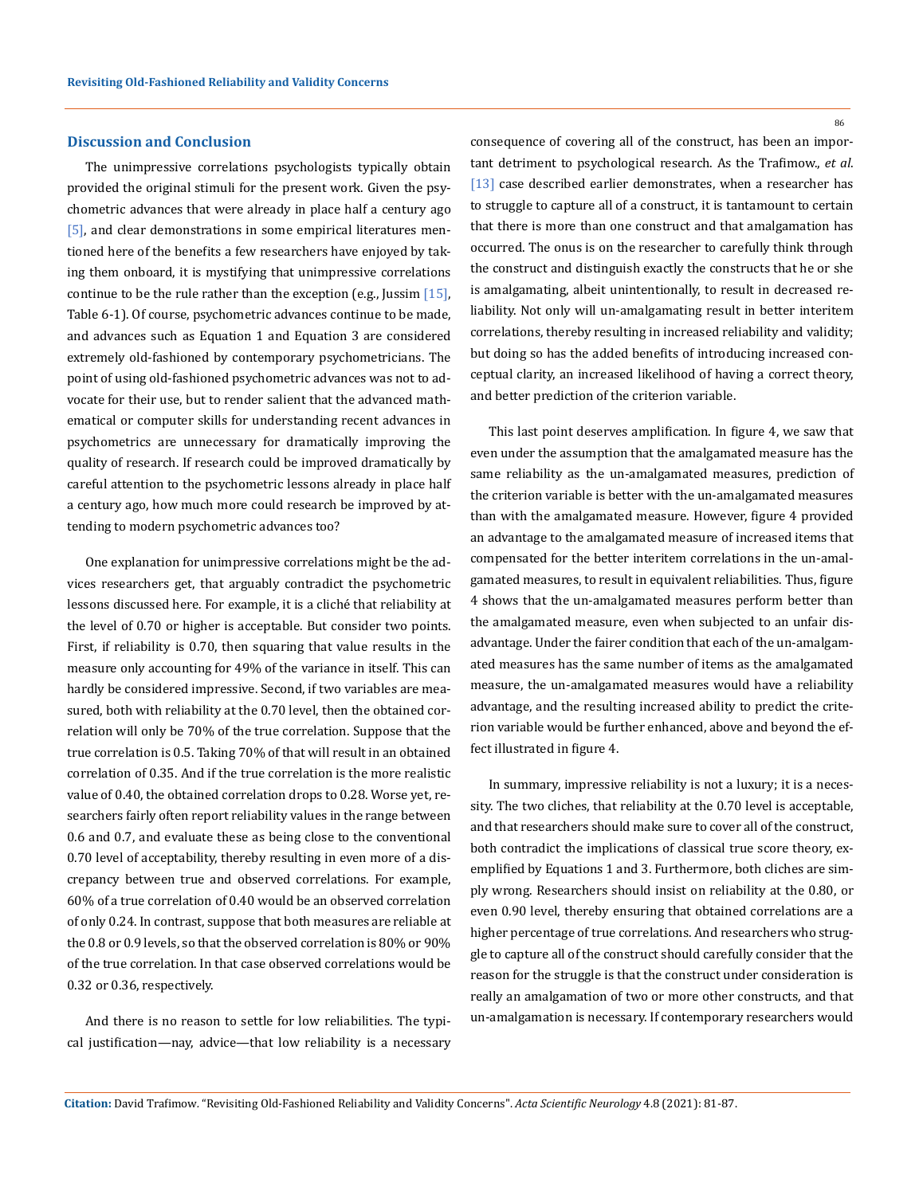#### **Discussion and Conclusion**

The unimpressive correlations psychologists typically obtain provided the original stimuli for the present work. Given the psychometric advances that were already in place half a century ago [5], and clear demonstrations in some empirical literatures mentioned here of the benefits a few researchers have enjoyed by taking them onboard, it is mystifying that unimpressive correlations continue to be the rule rather than the exception (e.g., Jussim  $[15]$ , Table 6-1). Of course, psychometric advances continue to be made, and advances such as Equation 1 and Equation 3 are considered extremely old-fashioned by contemporary psychometricians. The point of using old-fashioned psychometric advances was not to advocate for their use, but to render salient that the advanced mathematical or computer skills for understanding recent advances in psychometrics are unnecessary for dramatically improving the quality of research. If research could be improved dramatically by careful attention to the psychometric lessons already in place half a century ago, how much more could research be improved by attending to modern psychometric advances too?

One explanation for unimpressive correlations might be the advices researchers get, that arguably contradict the psychometric lessons discussed here. For example, it is a cliché that reliability at the level of 0.70 or higher is acceptable. But consider two points. First, if reliability is 0.70, then squaring that value results in the measure only accounting for 49% of the variance in itself. This can hardly be considered impressive. Second, if two variables are measured, both with reliability at the 0.70 level, then the obtained correlation will only be 70% of the true correlation. Suppose that the true correlation is 0.5. Taking 70% of that will result in an obtained correlation of 0.35. And if the true correlation is the more realistic value of 0.40, the obtained correlation drops to 0.28. Worse yet, researchers fairly often report reliability values in the range between 0.6 and 0.7, and evaluate these as being close to the conventional 0.70 level of acceptability, thereby resulting in even more of a discrepancy between true and observed correlations. For example, 60% of a true correlation of 0.40 would be an observed correlation of only 0.24. In contrast, suppose that both measures are reliable at the 0.8 or 0.9 levels, so that the observed correlation is 80% or 90% of the true correlation. In that case observed correlations would be 0.32 or 0.36, respectively.

And there is no reason to settle for low reliabilities. The typical justification—nay, advice—that low reliability is a necessary 86

consequence of covering all of the construct, has been an important detriment to psychological research. As the Trafimow., *et al*. [13] case described earlier demonstrates, when a researcher has to struggle to capture all of a construct, it is tantamount to certain that there is more than one construct and that amalgamation has occurred. The onus is on the researcher to carefully think through the construct and distinguish exactly the constructs that he or she is amalgamating, albeit unintentionally, to result in decreased reliability. Not only will un-amalgamating result in better interitem correlations, thereby resulting in increased reliability and validity; but doing so has the added benefits of introducing increased conceptual clarity, an increased likelihood of having a correct theory, and better prediction of the criterion variable.

This last point deserves amplification. In figure 4, we saw that even under the assumption that the amalgamated measure has the same reliability as the un-amalgamated measures, prediction of the criterion variable is better with the un-amalgamated measures than with the amalgamated measure. However, figure 4 provided an advantage to the amalgamated measure of increased items that compensated for the better interitem correlations in the un-amalgamated measures, to result in equivalent reliabilities. Thus, figure 4 shows that the un-amalgamated measures perform better than the amalgamated measure, even when subjected to an unfair disadvantage. Under the fairer condition that each of the un-amalgamated measures has the same number of items as the amalgamated measure, the un-amalgamated measures would have a reliability advantage, and the resulting increased ability to predict the criterion variable would be further enhanced, above and beyond the effect illustrated in figure 4.

In summary, impressive reliability is not a luxury; it is a necessity. The two cliches, that reliability at the 0.70 level is acceptable, and that researchers should make sure to cover all of the construct, both contradict the implications of classical true score theory, exemplified by Equations 1 and 3. Furthermore, both cliches are simply wrong. Researchers should insist on reliability at the 0.80, or even 0.90 level, thereby ensuring that obtained correlations are a higher percentage of true correlations. And researchers who struggle to capture all of the construct should carefully consider that the reason for the struggle is that the construct under consideration is really an amalgamation of two or more other constructs, and that un-amalgamation is necessary. If contemporary researchers would